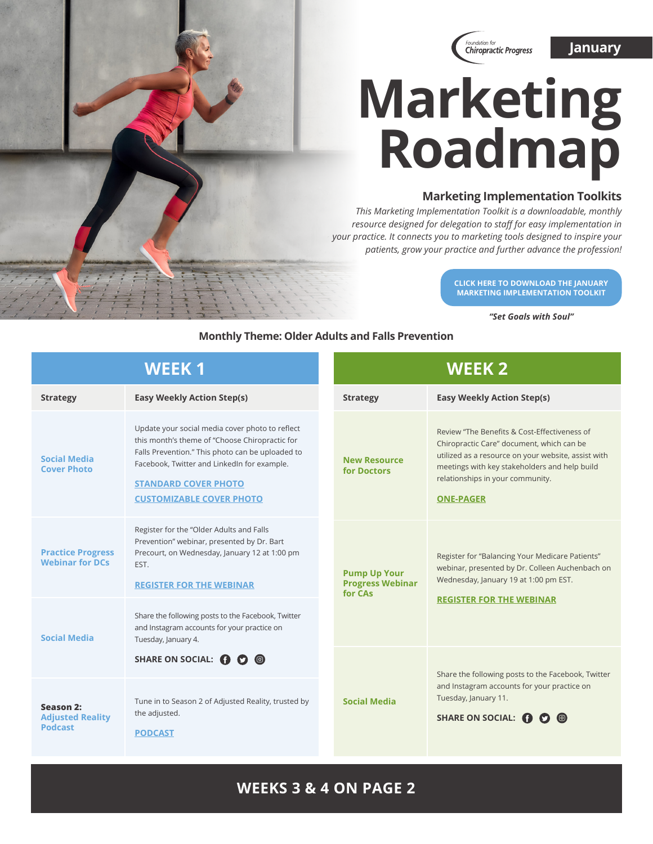

# **Marketing Roadmap**

### **Marketing Implementation Toolkits**

*This Marketing Implementation Toolkit is a downloadable, monthly resource designed for delegation to staff for easy implementation in your practice. It connects you to marketing tools designed to inspire your patients, grow your practice and further advance the profession!*

> **[CLICK HERE TO DOWNLOAD THE JANUARY](https://www.f4cp.org/package/member/login/viewfile/marset-goals-with-soul)  MARKETING IMPLEMENTATION TOOLKIT**

> > *"Set Goals with Soul"*

#### **Monthly Theme: Older Adults and Falls Prevention**

| <b>WEEK1</b>                                           |                                                                                                                                                                                                                                                                        | <b>WEEK 2</b>                                             |                                                                                                                                                                                                                                                           |  |
|--------------------------------------------------------|------------------------------------------------------------------------------------------------------------------------------------------------------------------------------------------------------------------------------------------------------------------------|-----------------------------------------------------------|-----------------------------------------------------------------------------------------------------------------------------------------------------------------------------------------------------------------------------------------------------------|--|
| <b>Strategy</b>                                        | <b>Easy Weekly Action Step(s)</b>                                                                                                                                                                                                                                      | <b>Strategy</b>                                           | <b>Easy Weekly Action Step(s)</b>                                                                                                                                                                                                                         |  |
| <b>Social Media</b><br><b>Cover Photo</b>              | Update your social media cover photo to reflect<br>this month's theme of "Choose Chiropractic for<br>Falls Prevention." This photo can be uploaded to<br>Facebook, Twitter and LinkedIn for example.<br><b>STANDARD COVER PHOTO</b><br><b>CUSTOMIZABLE COVER PHOTO</b> | <b>New Resource</b><br>for Doctors                        | Review "The Benefits & Cost-Effectiveness of<br>Chiropractic Care" document, which can be<br>utilized as a resource on your website, assist with<br>meetings with key stakeholders and help build<br>relationships in your community.<br><b>ONE-PAGER</b> |  |
| <b>Practice Progress</b><br><b>Webinar for DCs</b>     | Register for the "Older Adults and Falls<br>Prevention" webinar, presented by Dr. Bart<br>Precourt, on Wednesday, January 12 at 1:00 pm<br>EST.<br><b>REGISTER FOR THE WEBINAR</b>                                                                                     | <b>Pump Up Your</b><br><b>Progress Webinar</b><br>for CAs | Register for "Balancing Your Medicare Patients"<br>webinar, presented by Dr. Colleen Auchenbach on<br>Wednesday, January 19 at 1:00 pm EST.<br><b>REGISTER FOR THE WEBINAR</b>                                                                            |  |
| <b>Social Media</b>                                    | Share the following posts to the Facebook, Twitter<br>and Instagram accounts for your practice on<br>Tuesday, January 4.                                                                                                                                               |                                                           |                                                                                                                                                                                                                                                           |  |
|                                                        | SHARE ON SOCIAL: ( C C C                                                                                                                                                                                                                                               |                                                           | Share the following posts to the Facebook, Twitter                                                                                                                                                                                                        |  |
| Season 2:<br><b>Adjusted Reality</b><br><b>Podcast</b> | Tune in to Season 2 of Adjusted Reality, trusted by<br>the adjusted.<br><b>PODCAST</b>                                                                                                                                                                                 | <b>Social Media</b>                                       | and Instagram accounts for your practice on<br>Tuesday, January 11.<br>SHARE ON SOCIAL: <sup>1</sup>                                                                                                                                                      |  |

## **WEEKS 3 & 4 ON PAGE 2**